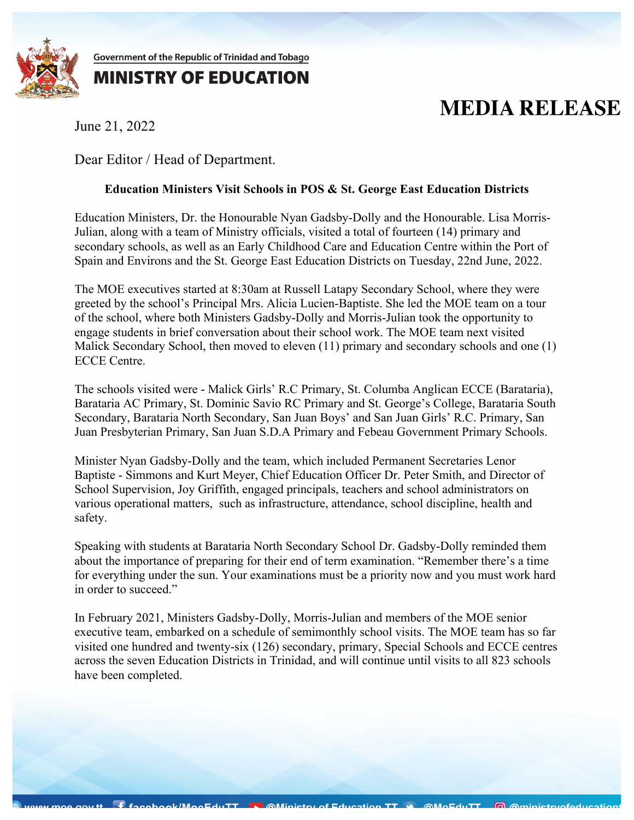

Government of the Republic of Trinidad and Tobago

## **MINISTRY OF EDUCATION**

## **MEDIA RELEASE**

June 21, 2022

Dear Editor / Head of Department.

## **Education Ministers Visit Schools in POS & St. George East Education Districts**

Education Ministers, Dr. the Honourable Nyan Gadsby-Dolly and the Honourable. Lisa Morris-Julian, along with a team of Ministry officials, visited a total of fourteen (14) primary and secondary schools, as well as an Early Childhood Care and Education Centre within the Port of Spain and Environs and the St. George East Education Districts on Tuesday, 22nd June, 2022.

The MOE executives started at 8:30am at Russell Latapy Secondary School, where they were greeted by the school's Principal Mrs. Alicia Lucien-Baptiste. She led the MOE team on a tour of the school, where both Ministers Gadsby-Dolly and Morris-Julian took the opportunity to engage students in brief conversation about their school work. The MOE team next visited Malick Secondary School, then moved to eleven (11) primary and secondary schools and one (1) ECCE Centre.

The schools visited were - Malick Girls' R.C Primary, St. Columba Anglican ECCE (Barataria), Barataria AC Primary, St. Dominic Savio RC Primary and St. George's College, Barataria South Secondary, Barataria North Secondary, San Juan Boys' and San Juan Girls' R.C. Primary, San Juan Presbyterian Primary, San Juan S.D.A Primary and Febeau Government Primary Schools.

Minister Nyan Gadsby-Dolly and the team, which included Permanent Secretaries Lenor Baptiste - Simmons and Kurt Meyer, Chief Education Officer Dr. Peter Smith, and Director of School Supervision, Joy Griffith, engaged principals, teachers and school administrators on various operational matters, such as infrastructure, attendance, school discipline, health and safety.

Speaking with students at Barataria North Secondary School Dr. Gadsby-Dolly reminded them about the importance of preparing for their end of term examination. "Remember there's a time for everything under the sun. Your examinations must be a priority now and you must work hard in order to succeed."

In February 2021, Ministers Gadsby-Dolly, Morris-Julian and members of the MOE senior executive team, embarked on a schedule of semimonthly school visits. The MOE team has so far visited one hundred and twenty-six (126) secondary, primary, Special Schools and ECCE centres across the seven Education Districts in Trinidad, and will continue until visits to all 823 schools have been completed.